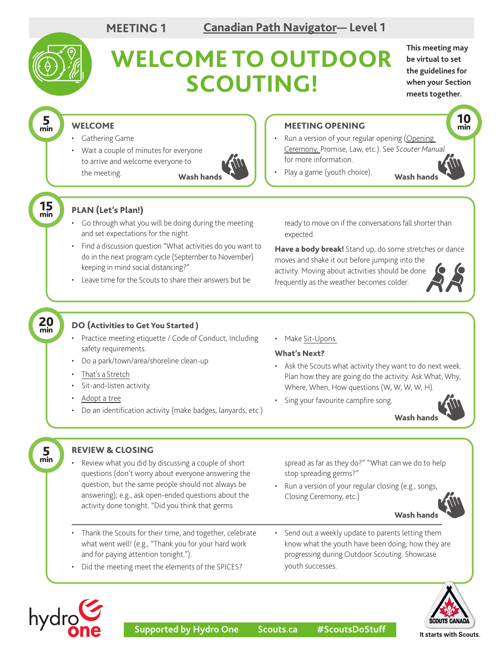

**be virtual to set the guidelines for when your Section meets together.**

> 10 min

## WELCOME

- Gathering Game
- Wait a couple of minutes for everyone to arrive and welcome everyone to the meeting.



## MEETING OPENING

- Run a version of your regular opening ([Opening](https://scoutsca.s3.amazonaws.com/2019/01/scouter-manual.pdf#page=64) [Ceremony,](https://scoutsca.s3.amazonaws.com/2019/01/scouter-manual.pdf#page=64) Promise, Law, etc.). See *Scouter Manual* for more information.
- Play a game (youth choice). Wash hands Wash hands

15 min

5 min

# PLAN (Let's Plan!)

- Go through what you will be doing during the meeting and set expectations for the night.
- Find a discussion question "What activities do you want to do in the next program cycle (September to November) keeping in mind social distancing?"
- Leave time for the Scouts to share their answers but be

ready to move on if the conversations fall shorter than expected.

Have a body break! Stand up, do some stretches or dance

moves and shake it out before jumping into the activity. Moving about activities should be done frequently as the weather becomes colder.



#### 20 min

5 min

hydrg

### DO (Activities to Get You Started )

- Practice meeting etiquette / Code of Conduct, Including safety requirements.
- Do a park/town/area/shoreline clean-up
- [That's a Stretch](https://www.scouts.ca/resources/activity-finder/activity-finder/thats-a-stretch.html)
- Sit-and-listen activity
- •[Adopt a tree](https://www.scouts.ca/f/jm0o)
- Do an identification activity (make badges, lanyards, etc.)
- Make [Sit-Upons.](https://www.scouts.ca/resources/activity-finder/sit-upons.html)

### What's Next?

- Ask the Scouts what activity they want to do next week. Plan how they are going do the activity. Ask What, Why, Where, When, How questions (W, W, W, W, H).
- Sing your favourite campfire song.



# REVIEW & CLOSING

Review what you did by discussing a couple of short questions (don't worry about everyone answering the question, but the same people should not always be answering); e.g., ask open-ended questions about the activity done tonight. "Did you think that germs

spread as far as they do?" "What can we do to help stop spreading germs?"

• Run a version of your regular closing (e.g., songs, Closing Ceremony, etc.)



- Thank the Scouts for their time, and together, celebrate what went well! (e.g., "Thank you for your hard work and for paying attention tonight.").
- Did the meeting meet the elements of the SPICES?
- Send out a weekly update to parents letting them know what the youth have been doing, how they are progressing during Outdoor Scouting. Showcase youth successes.